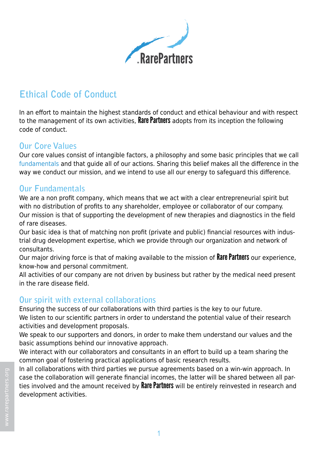

# **Ethical Code of Conduct**

In an effort to maintain the highest standards of conduct and ethical behaviour and with respect to the management of its own activities. **Rare Partners** adopts from its inception the following code of conduct.

### **Our Core Values**

Our core values consist of intangible factors, a philosophy and some basic principles that we call fundamentals and that guide all of our actions. Sharing this belief makes all the difference in the way we conduct our mission, and we intend to use all our energy to safeguard this difference.

#### **Our Fundamentals**

We are a non profit company, which means that we act with a clear entrepreneurial spirit but with no distribution of profits to any shareholder, employee or collaborator of our company. Our mission is that of supporting the development of new therapies and diagnostics in the field of rare diseases.

Our basic idea is that of matching non profit (private and public) financial resources with industrial drug development expertise, which we provide through our organization and network of consultants.

Our major driving force is that of making available to the mission of Rare Partners our experience, know-how and personal commitment.

All activities of our company are not driven by business but rather by the medical need present in the rare disease field.

#### **Our spirit with external collaborations**

Ensuring the success of our collaborations with third parties is the key to our future.

We listen to our scientific partners in order to understand the potential value of their research activities and development proposals.

We speak to our supporters and donors, in order to make them understand our values and the basic assumptions behind our innovative approach.

We interact with our collaborators and consultants in an effort to build up a team sharing the common goal of fostering practical applications of basic research results.

In all collaborations with third parties we pursue agreements based on a win-win approach. In case the collaboration will generate financial incomes, the latter will be shared between all parties involved and the amount received by **Rare Partners** will be entirely reinvested in research and development activities.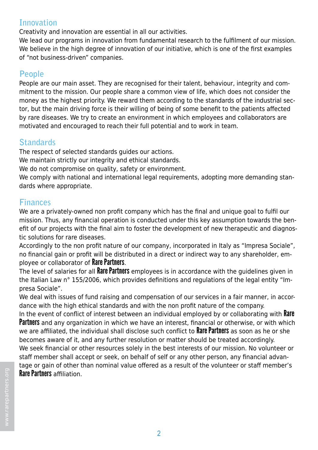### **Innovation**

Creativity and innovation are essential in all our activities.

We lead our programs in innovation from fundamental research to the fulfilment of our mission. We believe in the high degree of innovation of our initiative, which is one of the first examples of "not business-driven" companies.

### **People**

People are our main asset. They are recognised for their talent, behaviour, integrity and commitment to the mission. Our people share a common view of life, which does not consider the money as the highest priority. We reward them according to the standards of the industrial sector, but the main driving force is their willing of being of some benefit to the patients affected by rare diseases. We try to create an environment in which employees and collaborators are motivated and encouraged to reach their full potential and to work in team.

# **Standards**

The respect of selected standards guides our actions.

We maintain strictly our integrity and ethical standards.

We do not compromise on quality, safety or environment.

We comply with national and international legal requirements, adopting more demanding standards where appropriate.

## **Finances**

We are a privately-owned non profit company which has the final and unique goal to fulfil our mission. Thus, any financial operation is conducted under this key assumption towards the benefit of our projects with the final aim to foster the development of new therapeutic and diagnostic solutions for rare diseases.

Accordingly to the non profit nature of our company, incorporated in Italy as "Impresa Sociale", no financial gain or profit will be distributed in a direct or indirect way to any shareholder, employee or collaborator of Rare Partners.

The level of salaries for all Rare Partners employees is in accordance with the guidelines given in the Italian Law n° 155/2006, which provides definitions and regulations of the legal entity "Impresa Sociale".

We deal with issues of fund raising and compensation of our services in a fair manner, in accordance with the high ethical standards and with the non profit nature of the company.

In the event of conflict of interest between an individual employed by or collaborating with **Rare Partners** and any organization in which we have an interest, financial or otherwise, or with which we are affiliated, the individual shall disclose such conflict to **Rare Partners** as soon as he or she becomes aware of it, and any further resolution or matter should be treated accordingly. We seek financial or other resources solely in the best interests of our mission. No volunteer or staff member shall accept or seek, on behalf of self or any other person, any financial advantage or gain of other than nominal value offered as a result of the volunteer or staff member's Rare Partners affiliation.